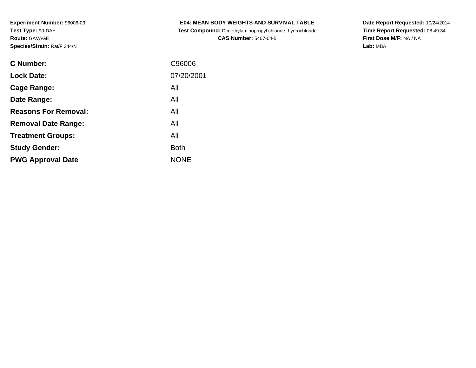**Test Compound:** Dimethylaminopropyl chloride, hydrochloride**CAS Number:** 5407-04-5

**Date Report Requested:** 10/24/2014 **Time Report Requested:** 08:49:34**First Dose M/F:** NA / NA**Lab:** MBA

| <b>C</b> Number:            | C96006      |
|-----------------------------|-------------|
| <b>Lock Date:</b>           | 07/20/2001  |
| Cage Range:                 | All         |
| Date Range:                 | All         |
| <b>Reasons For Removal:</b> | All         |
| <b>Removal Date Range:</b>  | All         |
| <b>Treatment Groups:</b>    | All         |
| <b>Study Gender:</b>        | <b>Both</b> |
| <b>PWG Approval Date</b>    | <b>NONE</b> |
|                             |             |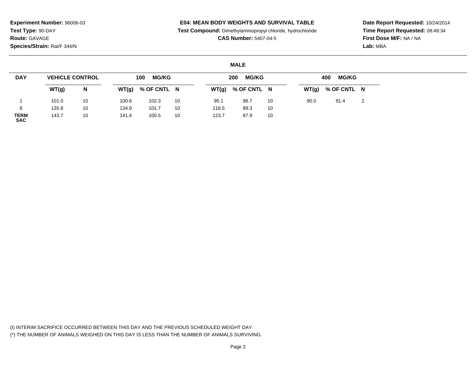### **E04: MEAN BODY WEIGHTS AND SURVIVAL TABLE**

**Test Compound:** Dimethylaminopropyl chloride, hydrochloride

**CAS Number:** 5407-04-5

**Date Report Requested:** 10/24/2014**Time Report Requested:** 08:49:34**First Dose M/F:** NA / NA**Lab:** MBA

#### **MALE**

| <b>DAY</b>                | <b>VEHICLE CONTROL</b> |    |       | <b>MG/KG</b><br>100 |    |       | <b>MG/KG</b><br>200 |    | <b>MG/KG</b><br>400 |             |   |  |  |
|---------------------------|------------------------|----|-------|---------------------|----|-------|---------------------|----|---------------------|-------------|---|--|--|
|                           | WT(g)                  | N  | WT(g) | % OF CNTL N         |    |       | $WT(g)$ % OF CNTL N |    | WT(g)               | % OF CNTL N |   |  |  |
|                           | 101.0                  | 10 | 100.6 | 102.3               | 10 | 95.1  | 96.7                | 10 | 90.0                | 91.4        | 2 |  |  |
|                           | 135.8                  | 10 | 134.9 | 101.7               | 10 | 118.5 | 89.3                | 10 |                     |             |   |  |  |
| <b>TERM</b><br><b>SAC</b> | 143.7                  | 10 | 141.4 | 100.5               | 10 | 123.7 | 87.9                | 10 |                     |             |   |  |  |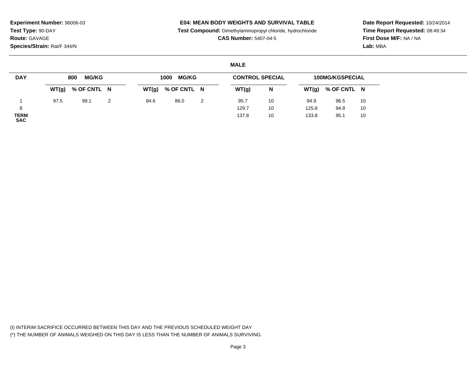## **E04: MEAN BODY WEIGHTS AND SURVIVAL TABLE**

**Test Compound:** Dimethylaminopropyl chloride, hydrochloride

**CAS Number:** 5407-04-5

**Date Report Requested:** 10/24/2014**Time Report Requested:** 08:49:34**First Dose M/F:** NA / NA**Lab:** MBA

## **MALE**

| <b>DAY</b>         | <b>MG/KG</b><br>800 |                     | <b>MG/KG</b><br>1000 |      |                     |   | <b>CONTROL SPECIAL</b> |    | <b>100MG/KGSPECIAL</b> |             |    |
|--------------------|---------------------|---------------------|----------------------|------|---------------------|---|------------------------|----|------------------------|-------------|----|
|                    |                     | $WT(g)$ % OF CNTL N |                      |      | $WT(g)$ % OF CNTL N |   | WT(g)                  | N  | WT(g)                  | % OF CNTL N |    |
|                    | 97.5                | 99.1                | 2                    | 84.6 | 86.0                | 2 | 95.7                   | 10 | 94.9                   | 96.5        | 10 |
| 8                  |                     |                     |                      |      |                     |   | 129.7                  | 10 | 125.8                  | 94.8        | 10 |
| TERM<br><b>SAC</b> |                     |                     |                      |      |                     |   | 137.8                  | 10 | 133.8                  | 95.1        | 10 |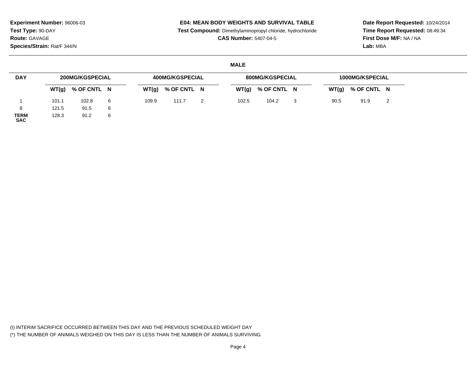### **E04: MEAN BODY WEIGHTS AND SURVIVAL TABLE**

**Test Compound:** Dimethylaminopropyl chloride, hydrochloride

**CAS Number:** 5407-04-5

**Date Report Requested:** 10/24/2014**Time Report Requested:** 08:49:34**First Dose M/F:** NA / NA**Lab:** MBA

#### **MALE**

| <b>DAY</b>                | <b>200MG/KGSPECIAL</b> |                     |   |       | <b>400MG/KGSPECIAL</b> |       | 800MG/KGSPECIAL | 1000MG/KSPECIAL |      |                     |   |
|---------------------------|------------------------|---------------------|---|-------|------------------------|-------|-----------------|-----------------|------|---------------------|---|
|                           |                        | $WT(g)$ % OF CNTL N |   | WT(g) | % OF CNTL N            | WT(g) | % OF CNTL N     |                 |      | $WT(g)$ % OF CNTL N |   |
|                           | 101.1                  | 102.8               | 6 | 109.9 | 111.7                  | 102.5 | 104.2           | 3               | 90.5 | 91.9                | 2 |
| 8                         | 121.5                  | 91.5                | 6 |       |                        |       |                 |                 |      |                     |   |
| <b>TERM</b><br><b>SAC</b> | 128.3                  | 91.2                | 6 |       |                        |       |                 |                 |      |                     |   |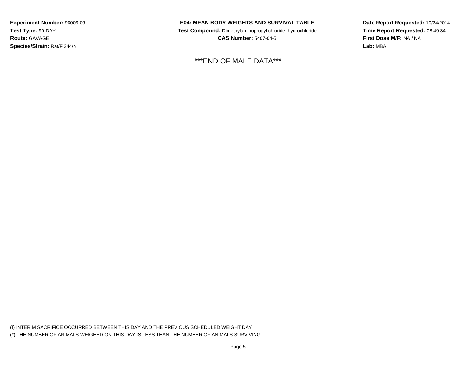### **E04: MEAN BODY WEIGHTS AND SURVIVAL TABLE**

 **Test Compound:** Dimethylaminopropyl chloride, hydrochloride**CAS Number:** 5407-04-5

\*\*\*END OF MALE DATA\*\*\*

**Date Report Requested:** 10/24/2014**Time Report Requested:** 08:49:34**First Dose M/F:** NA / NA**Lab:** MBA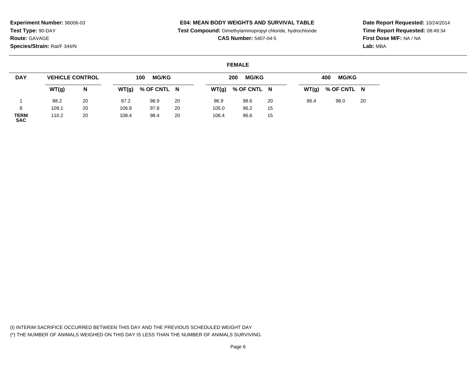## **E04: MEAN BODY WEIGHTS AND SURVIVAL TABLE**

**Test Compound:** Dimethylaminopropyl chloride, hydrochloride

**CAS Number:** 5407-04-5

**Date Report Requested:** 10/24/2014**Time Report Requested:** 08:49:34**First Dose M/F:** NA / NA**Lab:** MBA

#### **FEMALE**

| <b>DAY</b>                | <b>VEHICLE CONTROL</b> |    | <b>MG/KG</b><br>100 |             |    |       | <b>MG/KG</b><br>200 |    |      | <b>MG/KG</b><br>400 |    |  |  |  |
|---------------------------|------------------------|----|---------------------|-------------|----|-------|---------------------|----|------|---------------------|----|--|--|--|
|                           | WT(g)                  | N  | WT(g)               | % OF CNTL N |    | WT(g) | % OF CNTL N         |    |      | $WT(g)$ % OF CNTL N |    |  |  |  |
|                           | 88.2                   | 20 | 87.2                | 98.9        | 20 | 86.9  | 98.6                | 20 | 86.4 | 98.0                | 20 |  |  |  |
| 8                         | 109.1                  | 20 | 106.8               | 97.8        | 20 | 105.0 | 96.2                | 15 |      |                     |    |  |  |  |
| <b>TERM</b><br><b>SAC</b> | 110.2                  | 20 | 108.4               | 98.4        | 20 | 106.4 | 96.6                | 15 |      |                     |    |  |  |  |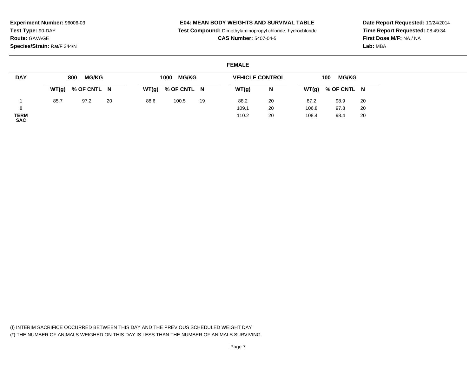## **E04: MEAN BODY WEIGHTS AND SURVIVAL TABLE**

**Test Compound:** Dimethylaminopropyl chloride, hydrochloride

**CAS Number:** 5407-04-5

**Date Report Requested:** 10/24/2014**Time Report Requested:** 08:49:34**First Dose M/F:** NA / NA**Lab:** MBA

## **FEMALE**

| <b>DAY</b>                | <b>MG/KG</b><br>800 |                     |    | <b>MG/KG</b><br>1000 |             |    | <b>VEHICLE CONTROL</b> | <b>MG/KG</b><br>100 |       |                     |    |
|---------------------------|---------------------|---------------------|----|----------------------|-------------|----|------------------------|---------------------|-------|---------------------|----|
|                           |                     | $WT(g)$ % OF CNTL N |    | WT(g)                | % OF CNTL N |    | WT(g)                  | N                   |       | $WT(g)$ % OF CNTL N |    |
|                           | 85.7                | 97.2                | 20 | 88.6                 | 100.5       | 19 | 88.2                   | 20                  | 87.2  | 98.9                | 20 |
|                           |                     |                     |    |                      |             |    | 109.1                  | 20                  | 106.8 | 97.8                | 20 |
| <b>TERM</b><br><b>SAC</b> |                     |                     |    |                      |             |    | 110.2                  | 20                  | 108.4 | 98.4                | 20 |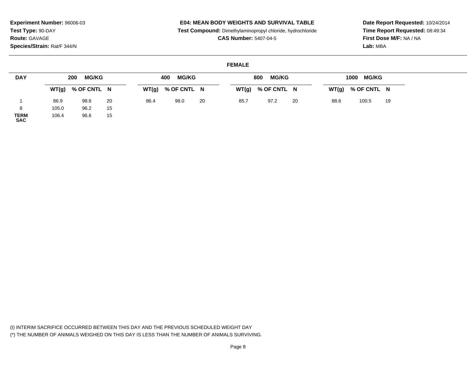## **E04: MEAN BODY WEIGHTS AND SURVIVAL TABLE**

**Test Compound:** Dimethylaminopropyl chloride, hydrochloride

**CAS Number:** 5407-04-5

**Date Report Requested:** 10/24/2014**Time Report Requested:** 08:49:34**First Dose M/F:** NA / NA**Lab:** MBA

### **FEMALE**

| <b>DAY</b>          | <b>MG/KG</b><br>200 |                     |    |      | <b>MG/KG</b><br>400 |    |      | <b>MG/KG</b><br>800 |    | 1000 MG/KG |                     |    |  |  |
|---------------------|---------------------|---------------------|----|------|---------------------|----|------|---------------------|----|------------|---------------------|----|--|--|
|                     |                     | $WT(g)$ % OF CNTL N |    |      | $WT(g)$ % OF CNTL N |    |      | $WT(g)$ % OF CNTL N |    |            | $WT(g)$ % OF CNTL N |    |  |  |
|                     | 86.9                | 98.6                | 20 | 86.4 | 98.0                | 20 | 85.7 | 97.2                | 20 | 88.6       | 100.5               | 19 |  |  |
| 8                   | 105.0               | 96.2                | 15 |      |                     |    |      |                     |    |            |                     |    |  |  |
| <b>TERM<br/>SAC</b> | 106.4               | 96.6                | 15 |      |                     |    |      |                     |    |            |                     |    |  |  |